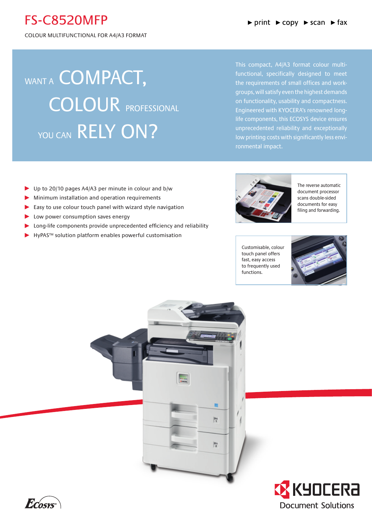## FS-C8520MFP

Colour Multifunctional for A4/A3 Format

# WANT A **COMPACT**, COLOUR PROFESSIONAL YOU CAN RELY ON?

This compact, A4/A3 format colour multifunctional, specifically designed to meet the requirements of small offices and workgroups, will satisfy even the highest demands on functionality, usability and compactness. Engineered with KYOCERA's renowned longlife components, this ECOSYS device ensures unprecedented reliability and exceptionally low printing costs with significantly less environmental impact.

- ▶ Up to 20/10 pages A4/A3 per minute in colour and b/w
- Minimum installation and operation requirements
- $\blacktriangleright$  Easy to use colour touch panel with wizard style navigation
- **Low power consumption saves energy**
- Long-life components provide unprecedented efficiency and reliability
- ▶ HyPAS™ solution platform enables powerful customisation



The reverse automatic document processor scans double-sided documents for easy filing and forwarding.

Customisable, colour touch panel offers fast, easy access to frequently used functions.